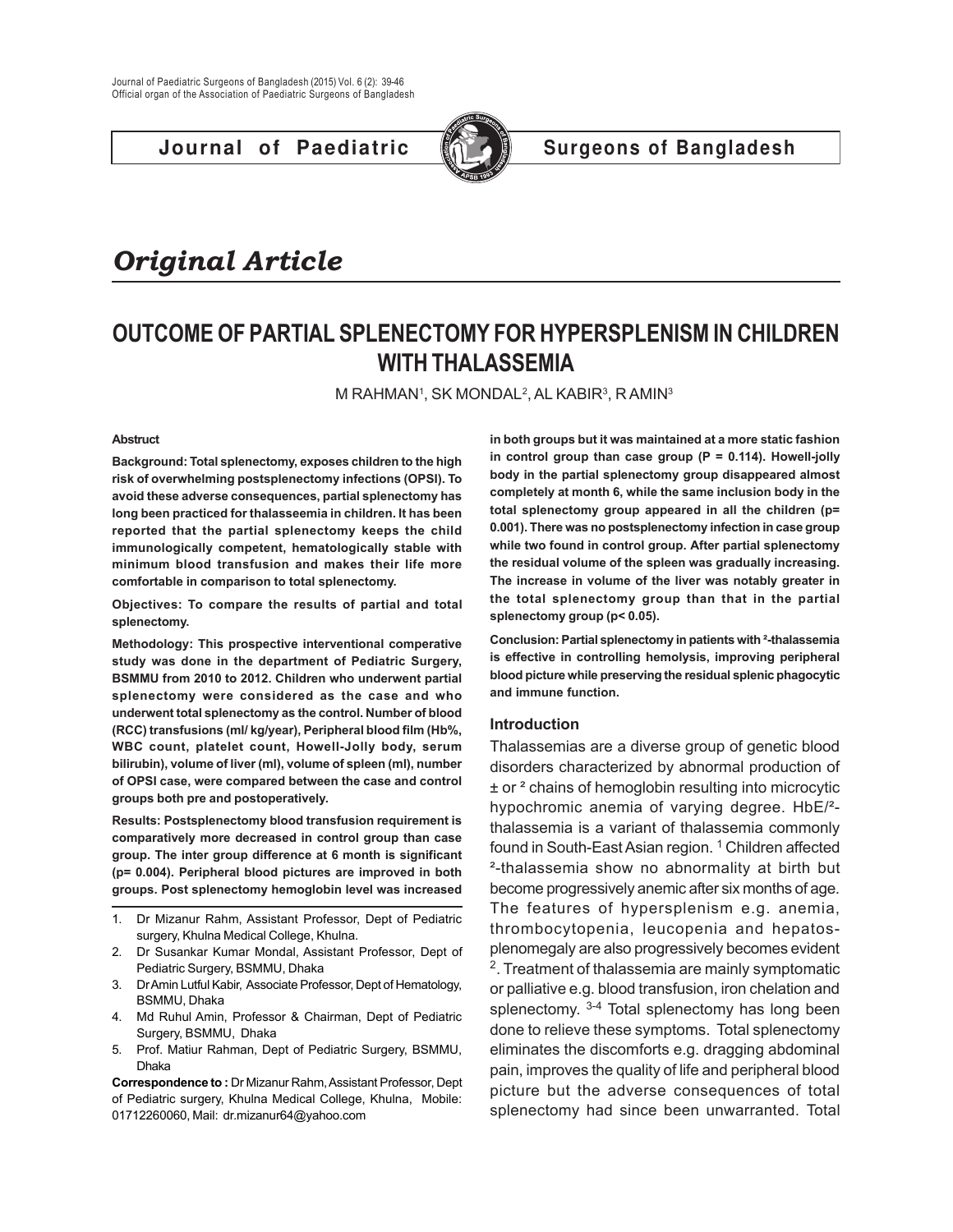**Journal of Paediatric ( Surgeons of Bangladesh** 



# *Original Article*

## **OUTCOME OF PARTIAL SPLENECTOMY FOR HYPERSPLENISM IN CHILDREN WITH THALASSEMIA**

M RAHMAN', SK MONDAL<sup>2</sup>, AL KABIR<sup>3</sup>, R AMIN<sup>3</sup>

#### **Abstruct**

**Background: Total splenectomy, exposes children to the high risk of overwhelming postsplenectomy infections (OPSI). To avoid these adverse consequences, partial splenectomy has long been practiced for thalasseemia in children. It has been reported that the partial splenectomy keeps the child immunologically competent, hematologically stable with minimum blood transfusion and makes their life more comfortable in comparison to total splenectomy.**

**Objectives: To compare the results of partial and total splenectomy.**

**Methodology: This prospective interventional comperative study was done in the department of Pediatric Surgery, BSMMU from 2010 to 2012. Children who underwent partial splenectomy were considered as the case and who underwent total splenectomy as the control. Number of blood (RCC) transfusions (ml/ kg/year), Peripheral blood film (Hb%, WBC count, platelet count, Howell-Jolly body, serum bilirubin), volume of liver (ml), volume of spleen (ml), number of OPSI case, were compared between the case and control groups both pre and postoperatively.**

**Results: Postsplenectomy blood transfusion requirement is comparatively more decreased in control group than case group. The inter group difference at 6 month is significant (p= 0.004). Peripheral blood pictures are improved in both groups. Post splenectomy hemoglobin level was increased**

- 1. Dr Mizanur Rahm, Assistant Professor, Dept of Pediatric surgery, Khulna Medical College, Khulna.
- 2. Dr Susankar Kumar Mondal, Assistant Professor, Dept of Pediatric Surgery, BSMMU, Dhaka
- 3. Dr Amin Lutful Kabir, Associate Professor, Dept of Hematology, BSMMU, Dhaka
- 4. Md Ruhul Amin, Professor & Chairman, Dept of Pediatric Surgery, BSMMU, Dhaka
- 5. Prof. Matiur Rahman, Dept of Pediatric Surgery, BSMMU, Dhaka

**Correspondence to :** Dr Mizanur Rahm, Assistant Professor, Dept of Pediatric surgery, Khulna Medical College, Khulna, Mobile: 01712260060, Mail: dr.mizanur64@yahoo.com

**in both groups but it was maintained at a more static fashion in control group than case group (P = 0.114). Howell-jolly body in the partial splenectomy group disappeared almost completely at month 6, while the same inclusion body in the total splenectomy group appeared in all the children (p= 0.001). There was no postsplenectomy infection in case group while two found in control group. After partial splenectomy the residual volume of the spleen was gradually increasing. The increase in volume of the liver was notably greater in the total splenectomy group than that in the partial splenectomy group (p< 0.05).**

**Conclusion: Partial splenectomy in patients with ²-thalassemia is effective in controlling hemolysis, improving peripheral blood picture while preserving the residual splenic phagocytic and immune function.**

#### **Introduction**

Thalassemias are a diverse group of genetic blood disorders characterized by abnormal production of ± or ² chains of hemoglobin resulting into microcytic hypochromic anemia of varying degree. HbE/² thalassemia is a variant of thalassemia commonly found in South-East Asian region.<sup>1</sup> Children affected ²-thalassemia show no abnormality at birth but become progressively anemic after six months of age. The features of hypersplenism e.g. anemia, thrombocytopenia, leucopenia and hepatosplenomegaly are also progressively becomes evident <sup>2</sup>. Treatment of thalassemia are mainly symptomatic or palliative e.g. blood transfusion, iron chelation and splenectomy. <sup>3-4</sup> Total splenectomy has long been done to relieve these symptoms. Total splenectomy eliminates the discomforts e.g. dragging abdominal pain, improves the quality of life and peripheral blood picture but the adverse consequences of total splenectomy had since been unwarranted. Total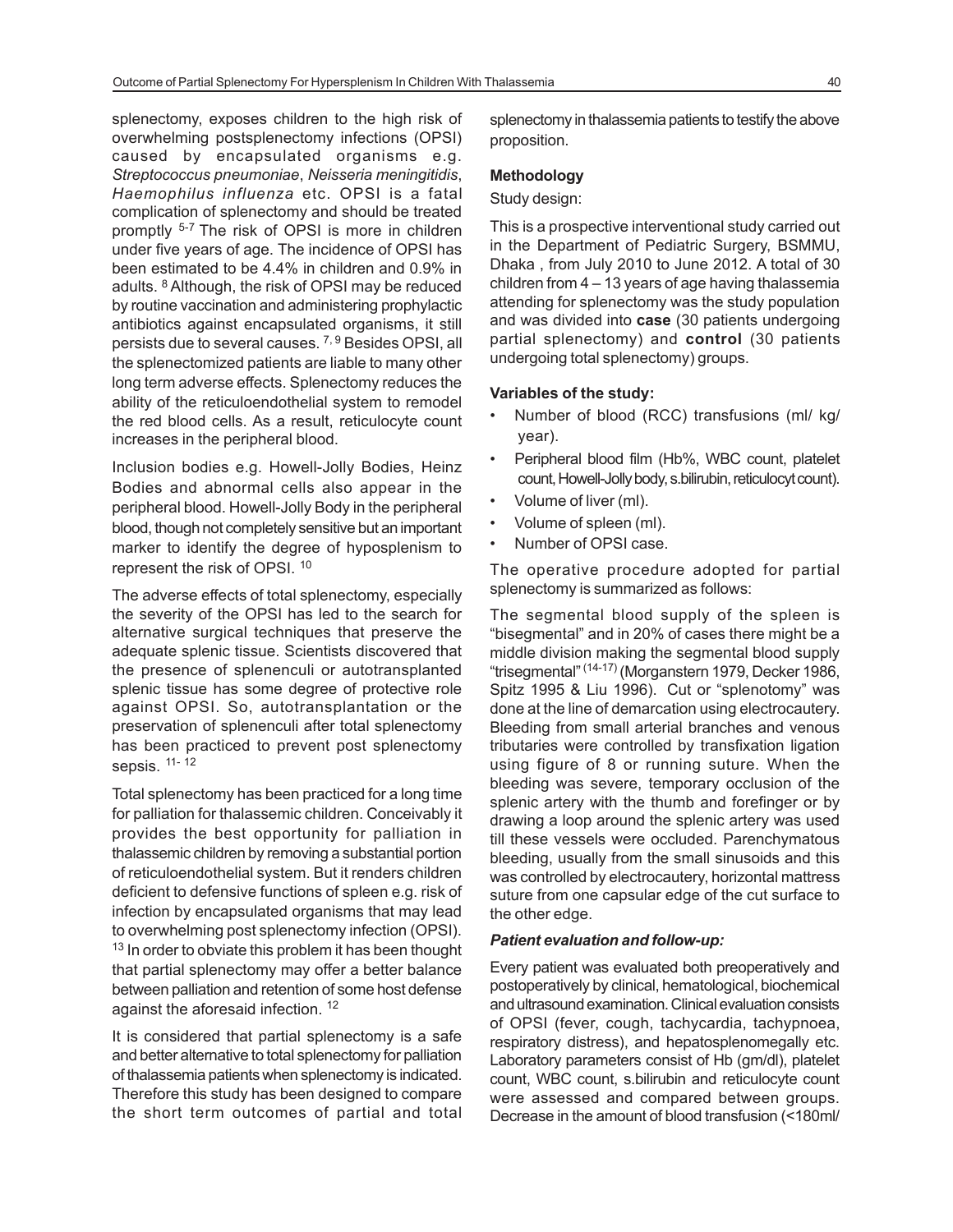splenectomy, exposes children to the high risk of overwhelming postsplenectomy infections (OPSI) caused by encapsulated organisms e.g. *Streptococcus pneumoniae*, *Neisseria meningitidis*, *Haemophilus influenza* etc. OPSI is a fatal complication of splenectomy and should be treated promptly 5-7 The risk of OPSI is more in children under five years of age. The incidence of OPSI has been estimated to be 4.4% in children and 0.9% in adults. <sup>8</sup> Although, the risk of OPSI may be reduced by routine vaccination and administering prophylactic antibiotics against encapsulated organisms, it still persists due to several causes. 7, 9 Besides OPSI, all the splenectomized patients are liable to many other long term adverse effects. Splenectomy reduces the ability of the reticuloendothelial system to remodel the red blood cells. As a result, reticulocyte count increases in the peripheral blood.

Inclusion bodies e.g. Howell-Jolly Bodies, Heinz Bodies and abnormal cells also appear in the peripheral blood. Howell-Jolly Body in the peripheral blood, though not completely sensitive but an important marker to identify the degree of hyposplenism to represent the risk of OPSI. <sup>10</sup>

The adverse effects of total splenectomy, especially the severity of the OPSI has led to the search for alternative surgical techniques that preserve the adequate splenic tissue. Scientists discovered that the presence of splenenculi or autotransplanted splenic tissue has some degree of protective role against OPSI. So, autotransplantation or the preservation of splenenculi after total splenectomy has been practiced to prevent post splenectomy sepsis. 11- 12

Total splenectomy has been practiced for a long time for palliation for thalassemic children. Conceivably it provides the best opportunity for palliation in thalassemic children by removing a substantial portion of reticuloendothelial system. But it renders children deficient to defensive functions of spleen e.g. risk of infection by encapsulated organisms that may lead to overwhelming post splenectomy infection (OPSI). <sup>13</sup> In order to obviate this problem it has been thought that partial splenectomy may offer a better balance between palliation and retention of some host defense against the aforesaid infection. <sup>12</sup>

It is considered that partial splenectomy is a safe and better alternative to total splenectomy for palliation of thalassemia patients when splenectomy is indicated. Therefore this study has been designed to compare the short term outcomes of partial and total splenectomy in thalassemia patients to testify the above proposition.

#### **Methodology**

#### Study design:

This is a prospective interventional study carried out in the Department of Pediatric Surgery, BSMMU, Dhaka , from July 2010 to June 2012. A total of 30 children from 4 – 13 years of age having thalassemia attending for splenectomy was the study population and was divided into **case** (30 patients undergoing partial splenectomy) and **control** (30 patients undergoing total splenectomy) groups.

#### **Variables of the study:**

- Number of blood (RCC) transfusions (ml/ kg/ year).
- Peripheral blood film (Hb%, WBC count, platelet count, Howell-Jolly body, s.bilirubin, reticulocyt count).
- Volume of liver (ml).
- Volume of spleen (ml).
- Number of OPSI case.

The operative procedure adopted for partial splenectomy is summarized as follows:

The segmental blood supply of the spleen is "bisegmental" and in 20% of cases there might be a middle division making the segmental blood supply "trisegmental" (14-17) (Morganstern 1979, Decker 1986, Spitz 1995 & Liu 1996). Cut or "splenotomy" was done at the line of demarcation using electrocautery. Bleeding from small arterial branches and venous tributaries were controlled by transfixation ligation using figure of 8 or running suture. When the bleeding was severe, temporary occlusion of the splenic artery with the thumb and forefinger or by drawing a loop around the splenic artery was used till these vessels were occluded. Parenchymatous bleeding, usually from the small sinusoids and this was controlled by electrocautery, horizontal mattress suture from one capsular edge of the cut surface to the other edge.

#### *Patient evaluation and follow-up:*

Every patient was evaluated both preoperatively and postoperatively by clinical, hematological, biochemical and ultrasound examination. Clinical evaluation consists of OPSI (fever, cough, tachycardia, tachypnoea, respiratory distress), and hepatosplenomegally etc. Laboratory parameters consist of Hb (gm/dl), platelet count, WBC count, s.bilirubin and reticulocyte count were assessed and compared between groups. Decrease in the amount of blood transfusion (<180ml/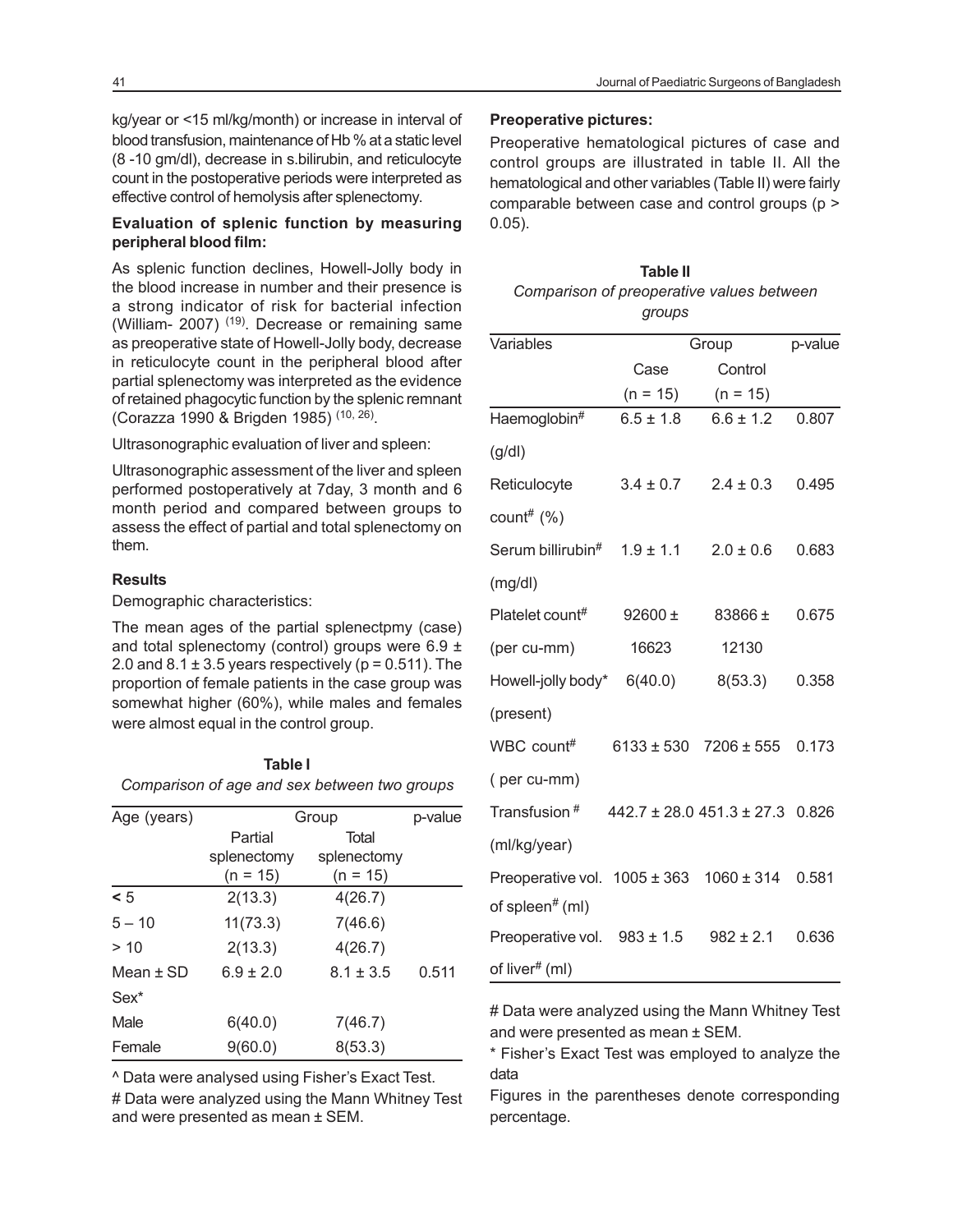kg/year or <15 ml/kg/month) or increase in interval of blood transfusion, maintenance of Hb % at a static level (8 -10 gm/dl), decrease in s.bilirubin, and reticulocyte count in the postoperative periods were interpreted as effective control of hemolysis after splenectomy.

### **Evaluation of splenic function by measuring peripheral blood film:**

As splenic function declines, Howell-Jolly body in the blood increase in number and their presence is a strong indicator of risk for bacterial infection (William- 2007) <sup>(19)</sup>. Decrease or remaining same as preoperative state of Howell-Jolly body, decrease in reticulocyte count in the peripheral blood after partial splenectomy was interpreted as the evidence of retained phagocytic function by the splenic remnant (Corazza 1990 & Brigden 1985) (10, 26).

Ultrasonographic evaluation of liver and spleen:

Ultrasonographic assessment of the liver and spleen performed postoperatively at 7day, 3 month and 6 month period and compared between groups to assess the effect of partial and total splenectomy on them.

#### **Results**

Demographic characteristics:

The mean ages of the partial splenectpmy (case) and total splenectomy (control) groups were  $6.9 \pm$ 2.0 and  $8.1 \pm 3.5$  years respectively ( $p = 0.511$ ). The proportion of female patients in the case group was somewhat higher (60%), while males and females were almost equal in the control group.

**Table I**

|                                              | 1 uwis 1      |               |         |  |
|----------------------------------------------|---------------|---------------|---------|--|
| Comparison of age and sex between two groups |               |               |         |  |
| Age (years)                                  | Group         |               | p-value |  |
|                                              | Partial       | Total         |         |  |
|                                              | splenectomy   | splenectomy   |         |  |
|                                              | $(n = 15)$    | $(n = 15)$    |         |  |
| $\leq 5$                                     | 2(13.3)       | 4(26.7)       |         |  |
| $5 - 10$                                     | 11(73.3)      | 7(46.6)       |         |  |
| > 10                                         | 2(13.3)       | 4(26.7)       |         |  |
| Mean $\pm$ SD                                | $6.9 \pm 2.0$ | $8.1 \pm 3.5$ | 0.511   |  |
| Sex <sup>*</sup>                             |               |               |         |  |
| Male                                         | 6(40.0)       | 7(46.7)       |         |  |
| Female                                       | 9(60.0)       | 8(53.3)       |         |  |

^ Data were analysed using Fisher's Exact Test.

# Data were analyzed using the Mann Whitney Test and were presented as mean ± SEM.

#### **Preoperative pictures:**

Preoperative hematological pictures of case and control groups are illustrated in table II. All the hematological and other variables (Table II) were fairly comparable between case and control groups (p > 0.05).

| <b>Table II</b>                           |
|-------------------------------------------|
| Comparison of preoperative values between |
| groups                                    |

| Variables                        | Group         |                                     | p-value |  |
|----------------------------------|---------------|-------------------------------------|---------|--|
|                                  | Case          | Control                             |         |  |
|                                  | $(n = 15)$    | $(n = 15)$                          |         |  |
| Haemoglobin#                     | $6.5 \pm 1.8$ | $6.6 \pm 1.2$                       | 0.807   |  |
| (g/dl)                           |               |                                     |         |  |
| Reticulocyte                     | $3.4 \pm 0.7$ | $2.4 \pm 0.3$                       | 0.495   |  |
| count# $(%)$                     |               |                                     |         |  |
| Serum billirubin#                | $1.9 \pm 1.1$ | $2.0 \pm 0.6$                       | 0.683   |  |
| (mg/dl)                          |               |                                     |         |  |
| Platelet count#                  | $92600 \pm$   | 83866 ±                             | 0.675   |  |
| (per cu-mm)                      | 16623         | 12130                               |         |  |
| Howell-jolly body* 6(40.0)       |               | 8(53.3)                             | 0.358   |  |
| (present)                        |               |                                     |         |  |
| WBC count#                       |               | $6133 \pm 530$ 7206 $\pm 555$       | 0.173   |  |
| (per cu-mm)                      |               |                                     |         |  |
| Transfusion <sup>#</sup>         |               | $442.7 \pm 28.0451.3 \pm 27.30.826$ |         |  |
| (ml/kg/year)                     |               |                                     |         |  |
| Preoperative vol. $1005 \pm 363$ |               | $1060 \pm 314$                      | 0.581   |  |
| of spleen <sup>#</sup> (ml)      |               |                                     |         |  |
| Preoperative vol. $983 \pm 1.5$  |               | $982 \pm 2.1$                       | 0.636   |  |
| of liver# (ml)                   |               |                                     |         |  |

# Data were analyzed using the Mann Whitney Test and were presented as mean ± SEM.

\* Fisher's Exact Test was employed to analyze the data

Figures in the parentheses denote corresponding percentage.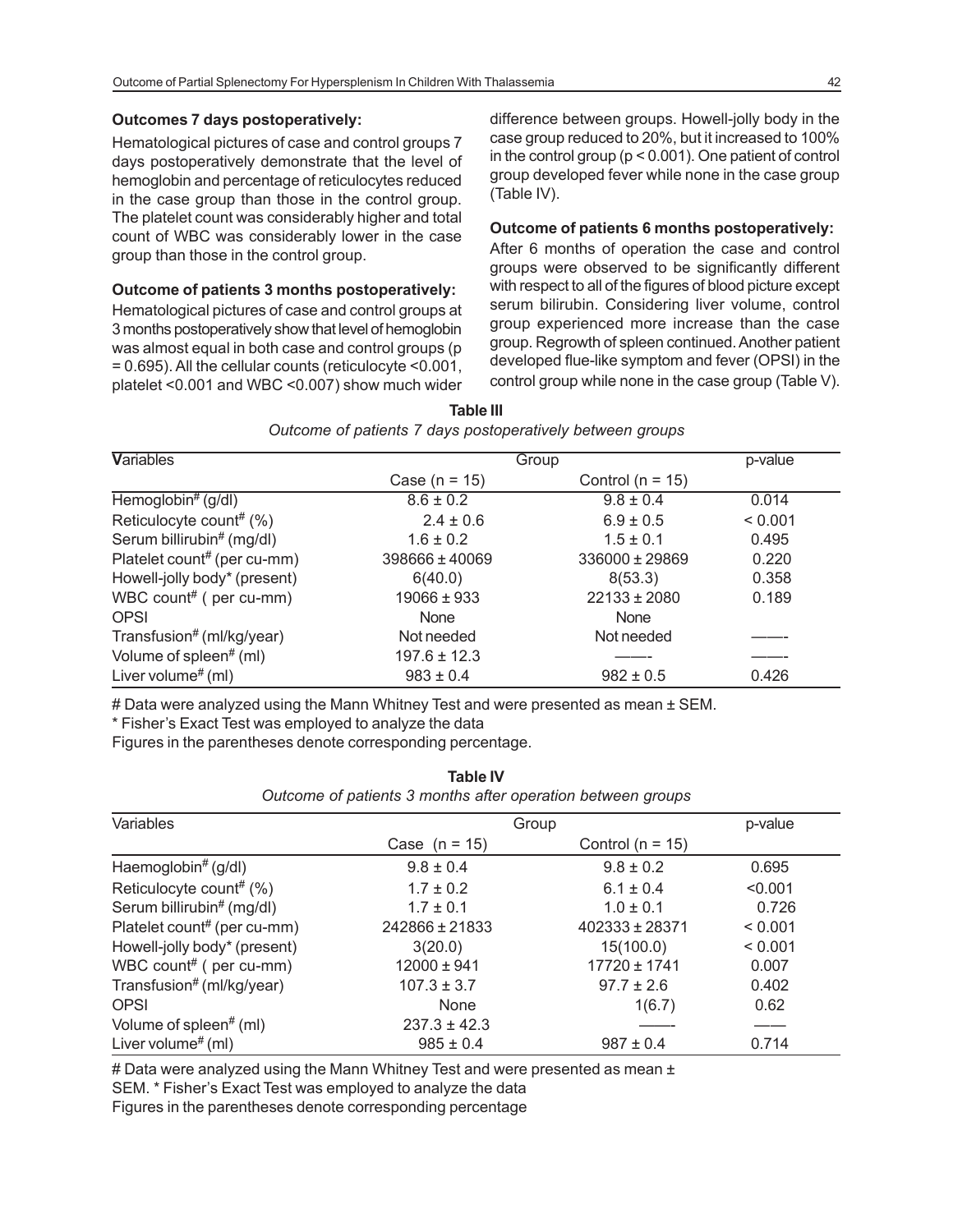#### **Outcomes 7 days postoperatively:**

Hematological pictures of case and control groups 7 days postoperatively demonstrate that the level of hemoglobin and percentage of reticulocytes reduced in the case group than those in the control group. The platelet count was considerably higher and total count of WBC was considerably lower in the case group than those in the control group.

### **Outcome of patients 3 months postoperatively:**

Hematological pictures of case and control groups at 3 months postoperatively show that level of hemoglobin was almost equal in both case and control groups (p = 0.695). All the cellular counts (reticulocyte <0.001, platelet <0.001 and WBC <0.007) show much wider difference between groups. Howell-jolly body in the case group reduced to 20%, but it increased to 100% in the control group (p < 0.001). One patient of control group developed fever while none in the case group (Table IV).

#### **Outcome of patients 6 months postoperatively:**

After 6 months of operation the case and control groups were observed to be significantly different with respect to all of the figures of blood picture except serum bilirubin. Considering liver volume, control group experienced more increase than the case group. Regrowth of spleen continued. Another patient developed flue-like symptom and fever (OPSI) in the control group while none in the case group (Table V).

**Table III** *Outcome of patients 7 days postoperatively between groups*

| <b>Variables</b>               | Group              |                      | p-value |  |
|--------------------------------|--------------------|----------------------|---------|--|
|                                | Case ( $n = 15$ )  | Control ( $n = 15$ ) |         |  |
| Hemoglobin# $(g/dl)$           | $8.6 \pm 0.2$      | $9.8 \pm 0.4$        | 0.014   |  |
| Reticulocyte count# $(\%)$     | $2.4 \pm 0.6$      | $6.9 \pm 0.5$        | < 0.001 |  |
| Serum billirubin# (mg/dl)      | $1.6 \pm 0.2$      | $1.5 \pm 0.1$        | 0.495   |  |
| Platelet count# (per cu-mm)    | $398666 \pm 40069$ | $336000 \pm 29869$   | 0.220   |  |
| Howell-jolly body* (present)   | 6(40.0)            | 8(53.3)              | 0.358   |  |
| WBC count# $($ per cu-mm $)$   | 19066 ± 933        | $22133 \pm 2080$     | 0.189   |  |
| <b>OPSI</b>                    | None               | <b>None</b>          |         |  |
| Transfusion# (ml/kg/year)      | Not needed         | Not needed           |         |  |
| Volume of spleen# (ml)         | $197.6 \pm 12.3$   |                      |         |  |
| Liver volume <sup>#</sup> (ml) | $983 \pm 0.4$      | $982 \pm 0.5$        | 0.426   |  |

# Data were analyzed using the Mann Whitney Test and were presented as mean ± SEM.

\* Fisher's Exact Test was employed to analyze the data

Figures in the parentheses denote corresponding percentage.

| Outcome of patients 3 months after operation between groups |                  |                      |         |
|-------------------------------------------------------------|------------------|----------------------|---------|
| Variables                                                   | Group            |                      | p-value |
|                                                             | Case $(n = 15)$  | Control ( $n = 15$ ) |         |
| Haemoglobin# (g/dl)                                         | $9.8 \pm 0.4$    | $9.8 \pm 0.2$        | 0.695   |
| Reticulocyte count# (%)                                     | $1.7 \pm 0.2$    | $6.1 \pm 0.4$        | < 0.001 |
| Serum billirubin# (mg/dl)                                   | $1.7 \pm 0.1$    | $1.0 \pm 0.1$        | 0.726   |
| Platelet count# (per cu-mm)                                 | 242866 ± 21833   | 402333 ± 28371       | < 0.001 |
| Howell-jolly body* (present)                                | 3(20.0)          | 15(100.0)            | < 0.001 |
| WBC count# (per cu-mm)                                      | $12000 \pm 941$  | $17720 \pm 1741$     | 0.007   |
| Transfusion# (ml/kg/year)                                   | $107.3 \pm 3.7$  | $97.7 \pm 2.6$       | 0.402   |
| <b>OPSI</b>                                                 | None             | 1(6.7)               | 0.62    |
| Volume of spleen <sup>#</sup> (ml)                          | $237.3 \pm 42.3$ |                      |         |
| Liver volume <sup>#</sup> (ml)                              | $985 \pm 0.4$    | $987 \pm 0.4$        | 0.714   |

**Table IV**

# Data were analyzed using the Mann Whitney Test and were presented as mean ±

SEM. \* Fisher's Exact Test was employed to analyze the data

Figures in the parentheses denote corresponding percentage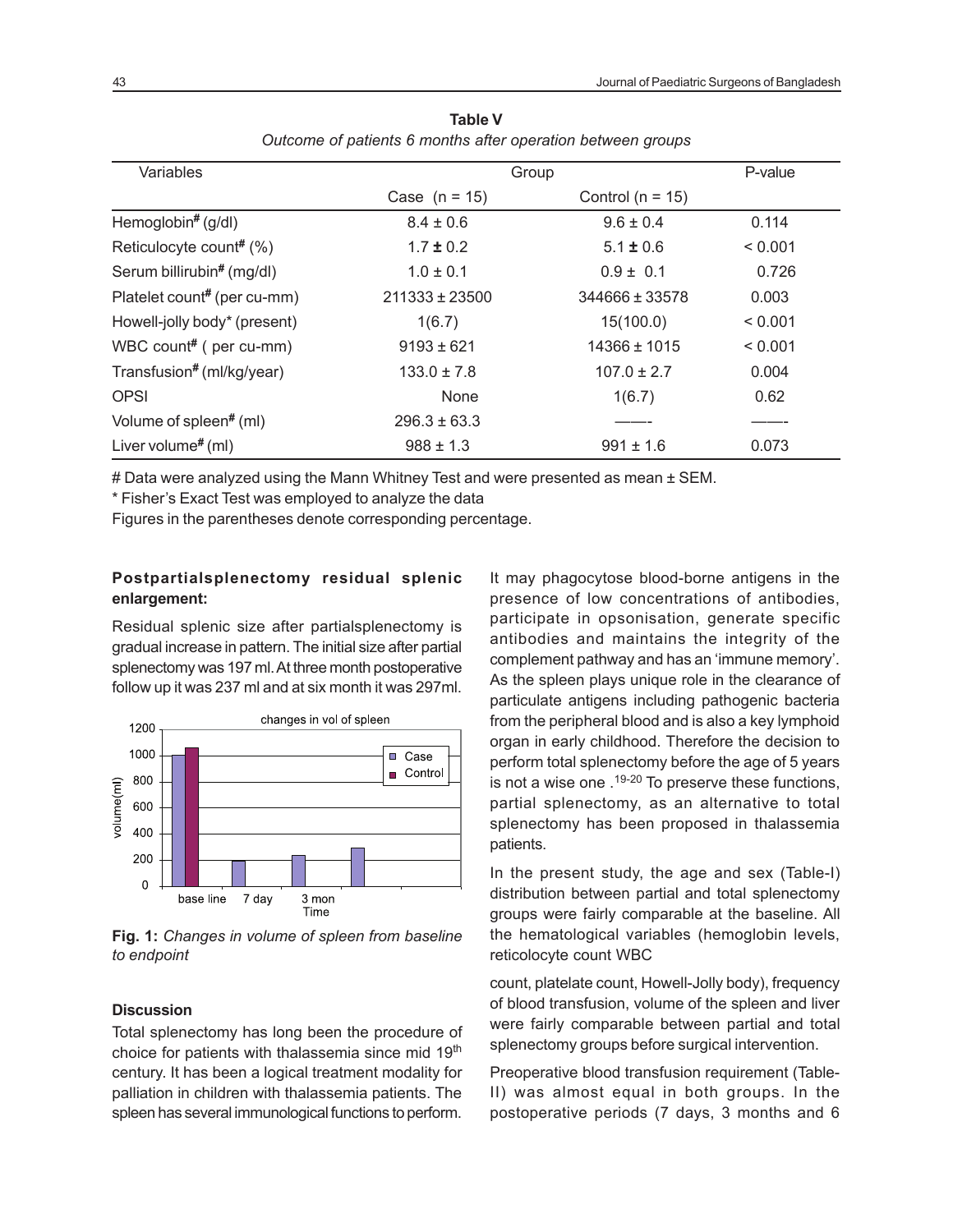| Variables                          | Group              |                      | P-value |
|------------------------------------|--------------------|----------------------|---------|
|                                    | Case $(n = 15)$    | Control ( $n = 15$ ) |         |
| Hemoglobin# (g/dl)                 | $8.4 \pm 0.6$      | $9.6 \pm 0.4$        | 0.114   |
| Reticulocyte count# (%)            | $1.7 \pm 0.2$      | $5.1 \pm 0.6$        | < 0.001 |
| Serum billirubin# (mg/dl)          | $1.0 \pm 0.1$      | $0.9 \pm 0.1$        | 0.726   |
| Platelet count# (per cu-mm)        | $211333 \pm 23500$ | 344666 ± 33578       | 0.003   |
| Howell-jolly body* (present)       | 1(6.7)             | 15(100.0)            | < 0.001 |
| WBC count# ( per cu-mm)            | $9193 \pm 621$     | 14366 ± 1015         | < 0.001 |
| Transfusion# (ml/kg/year)          | $133.0 \pm 7.8$    | $107.0 \pm 2.7$      | 0.004   |
| <b>OPSI</b>                        | None               | 1(6.7)               | 0.62    |
| Volume of spleen <sup>#</sup> (ml) | $296.3 \pm 63.3$   |                      |         |
| Liver volume <sup>#</sup> (ml)     | $988 \pm 1.3$      | $991 \pm 1.6$        | 0.073   |

| Table V                                                     |  |  |  |  |
|-------------------------------------------------------------|--|--|--|--|
| Outcome of patients 6 months after operation between groups |  |  |  |  |

# Data were analyzed using the Mann Whitney Test and were presented as mean ± SEM.

\* Fisher's Exact Test was employed to analyze the data

Figures in the parentheses denote corresponding percentage.

### **Postpartialsplenectomy residual splenic enlargement:**

Residual splenic size after partialsplenectomy is gradual increase in pattern. The initial size after partial splenectomy was 197 ml. At three month postoperative follow up it was 237 ml and at six month it was 297ml.



**Fig. 1:** *Changes in volume of spleen from baseline to endpoint*

### **Discussion**

Total splenectomy has long been the procedure of choice for patients with thalassemia since mid 19<sup>th</sup> century. It has been a logical treatment modality for palliation in children with thalassemia patients. The spleen has several immunological functions to perform.

It may phagocytose blood-borne antigens in the presence of low concentrations of antibodies, participate in opsonisation, generate specific antibodies and maintains the integrity of the complement pathway and has an 'immune memory'. As the spleen plays unique role in the clearance of particulate antigens including pathogenic bacteria from the peripheral blood and is also a key lymphoid organ in early childhood. Therefore the decision to perform total splenectomy before the age of 5 years is not a wise one  $.19-20$  To preserve these functions, partial splenectomy, as an alternative to total splenectomy has been proposed in thalassemia patients.

In the present study, the age and sex (Table-I) distribution between partial and total splenectomy groups were fairly comparable at the baseline. All the hematological variables (hemoglobin levels, reticolocyte count WBC

count, platelate count, Howell-Jolly body), frequency of blood transfusion, volume of the spleen and liver were fairly comparable between partial and total splenectomy groups before surgical intervention.

Preoperative blood transfusion requirement (Table-II) was almost equal in both groups. In the postoperative periods (7 days, 3 months and 6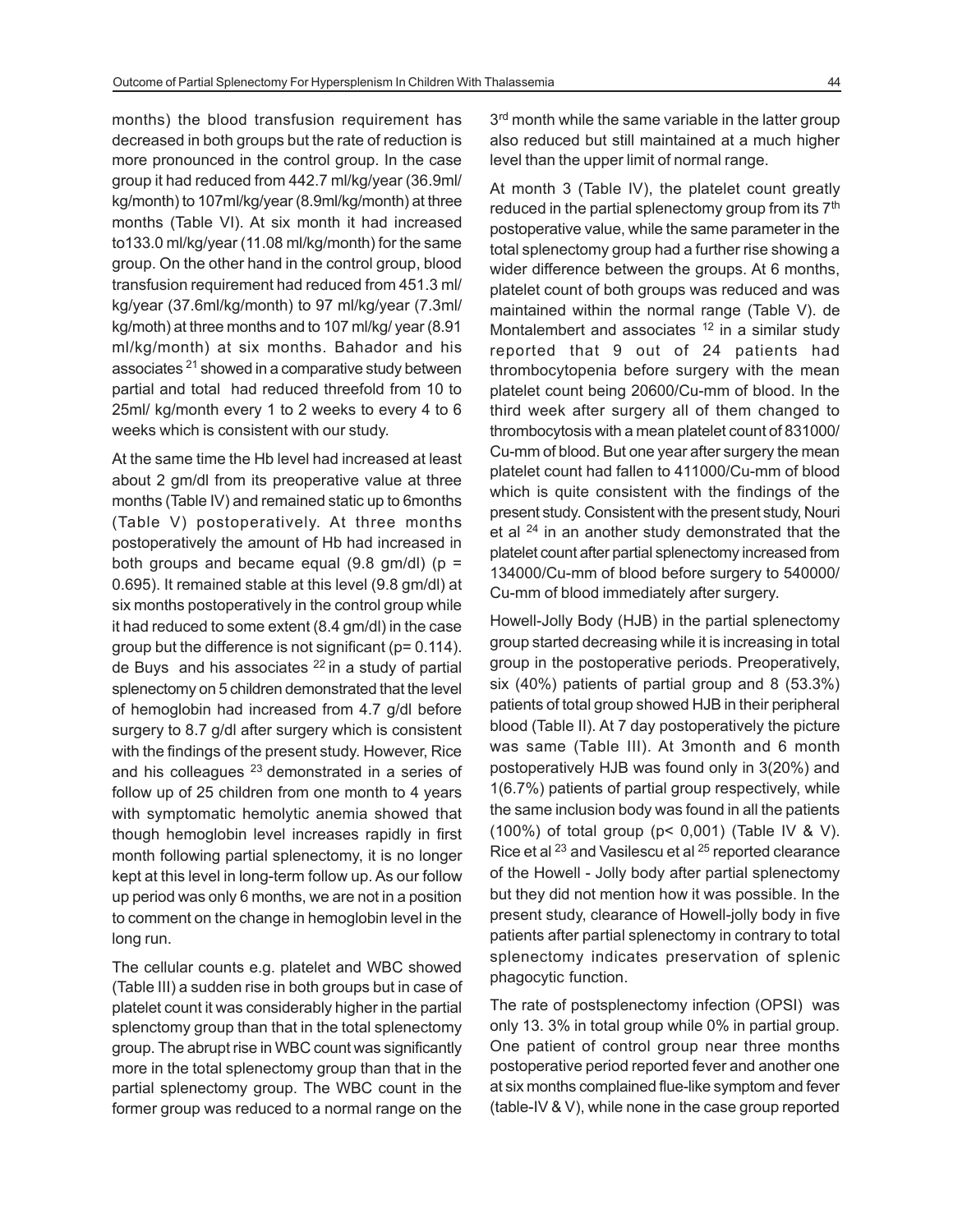months) the blood transfusion requirement has decreased in both groups but the rate of reduction is more pronounced in the control group. In the case group it had reduced from 442.7 ml/kg/year (36.9ml/ kg/month) to 107ml/kg/year (8.9ml/kg/month) at three months (Table VI). At six month it had increased to133.0 ml/kg/year (11.08 ml/kg/month) for the same group. On the other hand in the control group, blood transfusion requirement had reduced from 451.3 ml/ kg/year (37.6ml/kg/month) to 97 ml/kg/year (7.3ml/ kg/moth) at three months and to 107 ml/kg/ year (8.91 ml/kg/month) at six months. Bahador and his associates <sup>21</sup> showed in a comparative study between partial and total had reduced threefold from 10 to 25ml/ kg/month every 1 to 2 weeks to every 4 to 6 weeks which is consistent with our study.

At the same time the Hb level had increased at least about 2 gm/dl from its preoperative value at three months (Table IV) and remained static up to 6months (Table V) postoperatively. At three months postoperatively the amount of Hb had increased in both groups and became equal (9.8 gm/dl) ( $p =$ 0.695). It remained stable at this level (9.8 gm/dl) at six months postoperatively in the control group while it had reduced to some extent (8.4 gm/dl) in the case group but the difference is not significant (p= 0.114). de Buys and his associates  $22$  in a study of partial splenectomy on 5 children demonstrated that the level of hemoglobin had increased from 4.7 g/dl before surgery to 8.7 g/dl after surgery which is consistent with the findings of the present study. However, Rice and his colleagues  $23$  demonstrated in a series of follow up of 25 children from one month to 4 years with symptomatic hemolytic anemia showed that though hemoglobin level increases rapidly in first month following partial splenectomy, it is no longer kept at this level in long-term follow up. As our follow up period was only 6 months, we are not in a position to comment on the change in hemoglobin level in the long run.

The cellular counts e.g. platelet and WBC showed (Table III) a sudden rise in both groups but in case of platelet count it was considerably higher in the partial splenctomy group than that in the total splenectomy group. The abrupt rise in WBC count was significantly more in the total splenectomy group than that in the partial splenectomy group. The WBC count in the former group was reduced to a normal range on the

3<sup>rd</sup> month while the same variable in the latter group also reduced but still maintained at a much higher level than the upper limit of normal range.

At month 3 (Table IV), the platelet count greatly reduced in the partial splenectomy group from its 7<sup>th</sup> postoperative value, while the same parameter in the total splenectomy group had a further rise showing a wider difference between the groups. At 6 months, platelet count of both groups was reduced and was maintained within the normal range (Table V). de Montalembert and associates  $12$  in a similar study reported that 9 out of 24 patients had thrombocytopenia before surgery with the mean platelet count being 20600/Cu-mm of blood. In the third week after surgery all of them changed to thrombocytosis with a mean platelet count of 831000/ Cu-mm of blood. But one year after surgery the mean platelet count had fallen to 411000/Cu-mm of blood which is quite consistent with the findings of the present study. Consistent with the present study, Nouri et al <sup>24</sup> in an another study demonstrated that the platelet count after partial splenectomy increased from 134000/Cu-mm of blood before surgery to 540000/ Cu-mm of blood immediately after surgery.

Howell-Jolly Body (HJB) in the partial splenectomy group started decreasing while it is increasing in total group in the postoperative periods. Preoperatively, six (40%) patients of partial group and 8 (53.3%) patients of total group showed HJB in their peripheral blood (Table II). At 7 day postoperatively the picture was same (Table III). At 3month and 6 month postoperatively HJB was found only in 3(20%) and 1(6.7%) patients of partial group respectively, while the same inclusion body was found in all the patients (100%) of total group (p< 0,001) (Table IV & V). Rice et al <sup>23</sup> and Vasilescu et al <sup>25</sup> reported clearance of the Howell - Jolly body after partial splenectomy but they did not mention how it was possible. In the present study, clearance of Howell-jolly body in five patients after partial splenectomy in contrary to total splenectomy indicates preservation of splenic phagocytic function.

The rate of postsplenectomy infection (OPSI) was only 13. 3% in total group while 0% in partial group. One patient of control group near three months postoperative period reported fever and another one at six months complained flue-like symptom and fever (table-IV & V), while none in the case group reported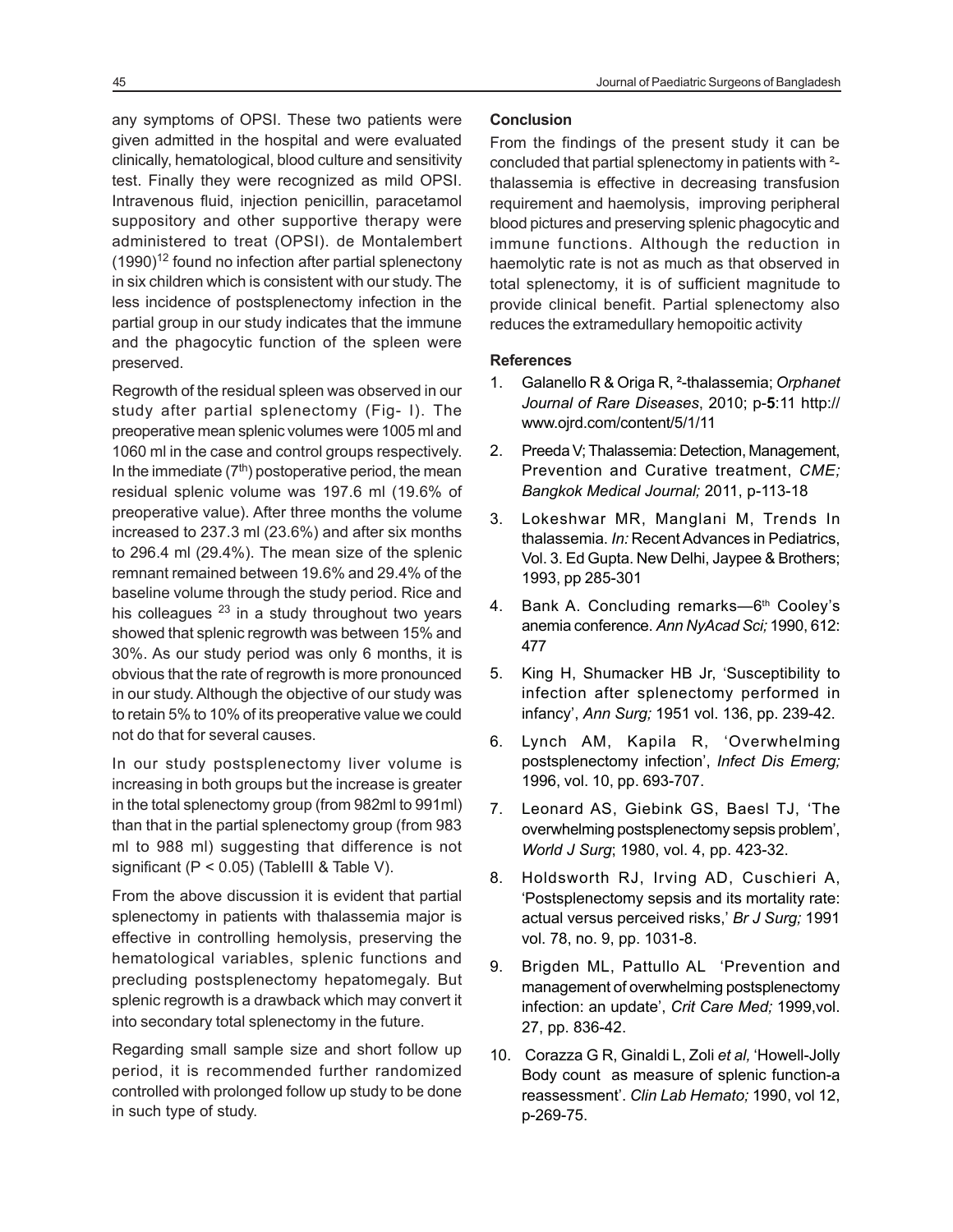Intravenous fluid, injection penicillin, paracetamol suppository and other supportive therapy were administered to treat (OPSI). de Montalembert  $(1990)^{12}$  found no infection after partial splenectony in six children which is consistent with our study. The less incidence of postsplenectomy infection in the partial group in our study indicates that the immune and the phagocytic function of the spleen were preserved.

Regrowth of the residual spleen was observed in our study after partial splenectomy (Fig- I). The preoperative mean splenic volumes were 1005 ml and 1060 ml in the case and control groups respectively. In the immediate (7<sup>th</sup>) postoperative period, the mean residual splenic volume was 197.6 ml (19.6% of preoperative value). After three months the volume increased to 237.3 ml (23.6%) and after six months to 296.4 ml (29.4%). The mean size of the splenic remnant remained between 19.6% and 29.4% of the baseline volume through the study period. Rice and his colleagues  $23$  in a study throughout two years showed that splenic regrowth was between 15% and 30%. As our study period was only 6 months, it is obvious that the rate of regrowth is more pronounced in our study. Although the objective of our study was to retain 5% to 10% of its preoperative value we could not do that for several causes.

In our study postsplenectomy liver volume is increasing in both groups but the increase is greater in the total splenectomy group (from 982ml to 991ml) than that in the partial splenectomy group (from 983 ml to 988 ml) suggesting that difference is not significant ( $P < 0.05$ ) (TableIII & Table V).

From the above discussion it is evident that partial splenectomy in patients with thalassemia major is effective in controlling hemolysis, preserving the hematological variables, splenic functions and precluding postsplenectomy hepatomegaly. But splenic regrowth is a drawback which may convert it into secondary total splenectomy in the future.

Regarding small sample size and short follow up period, it is recommended further randomized controlled with prolonged follow up study to be done in such type of study.

From the findings of the present study it can be concluded that partial splenectomy in patients with ² thalassemia is effective in decreasing transfusion requirement and haemolysis, improving peripheral blood pictures and preserving splenic phagocytic and immune functions. Although the reduction in haemolytic rate is not as much as that observed in total splenectomy, it is of sufficient magnitude to provide clinical benefit. Partial splenectomy also reduces the extramedullary hemopoitic activity

#### **References**

- 1. Galanello R & Origa R, ²-thalassemia; *Orphanet Journal of Rare Diseases*, 2010; p-**5**:11 http:// www.ojrd.com/content/5/1/11
- 2. Preeda V; Thalassemia: Detection, Management, Prevention and Curative treatment, *CME; Bangkok Medical Journal;* 2011, p-113-18
- 3. Lokeshwar MR, Manglani M, Trends In thalassemia. *In:* Recent Advances in Pediatrics, Vol. 3. Ed Gupta. New Delhi, Jaypee & Brothers; 1993, pp 285-301
- 4. Bank A. Concluding remarks-6<sup>th</sup> Cooley's anemia conference. *Ann NyAcad Sci;* 1990, 612: 477
- 5. King H, Shumacker HB Jr, 'Susceptibility to infection after splenectomy performed in infancy', *Ann Surg;* 1951 vol. 136, pp. 239-42.
- 6. Lynch AM, Kapila R, 'Overwhelming postsplenectomy infection', *Infect Dis Emerg;* 1996, vol. 10, pp. 693-707.
- 7. Leonard AS, Giebink GS, Baesl TJ, 'The overwhelming postsplenectomy sepsis problem', *World J Surg*; 1980, vol. 4, pp. 423-32.
- 8. Holdsworth RJ, Irving AD, Cuschieri A, 'Postsplenectomy sepsis and its mortality rate: actual versus perceived risks,' *Br J Surg;* 1991 vol. 78, no. 9, pp. 1031-8.
- 9. Brigden ML, Pattullo AL 'Prevention and management of overwhelming postsplenectomy infection: an update', *Crit Care Med;* 1999,vol. 27, pp. 836-42.
- 10. Corazza G R, Ginaldi L, Zoli *et al,* 'Howell-Jolly Body count as measure of splenic function-a reassessment'. *Clin Lab Hemato;* 1990, vol 12, p-269-75.